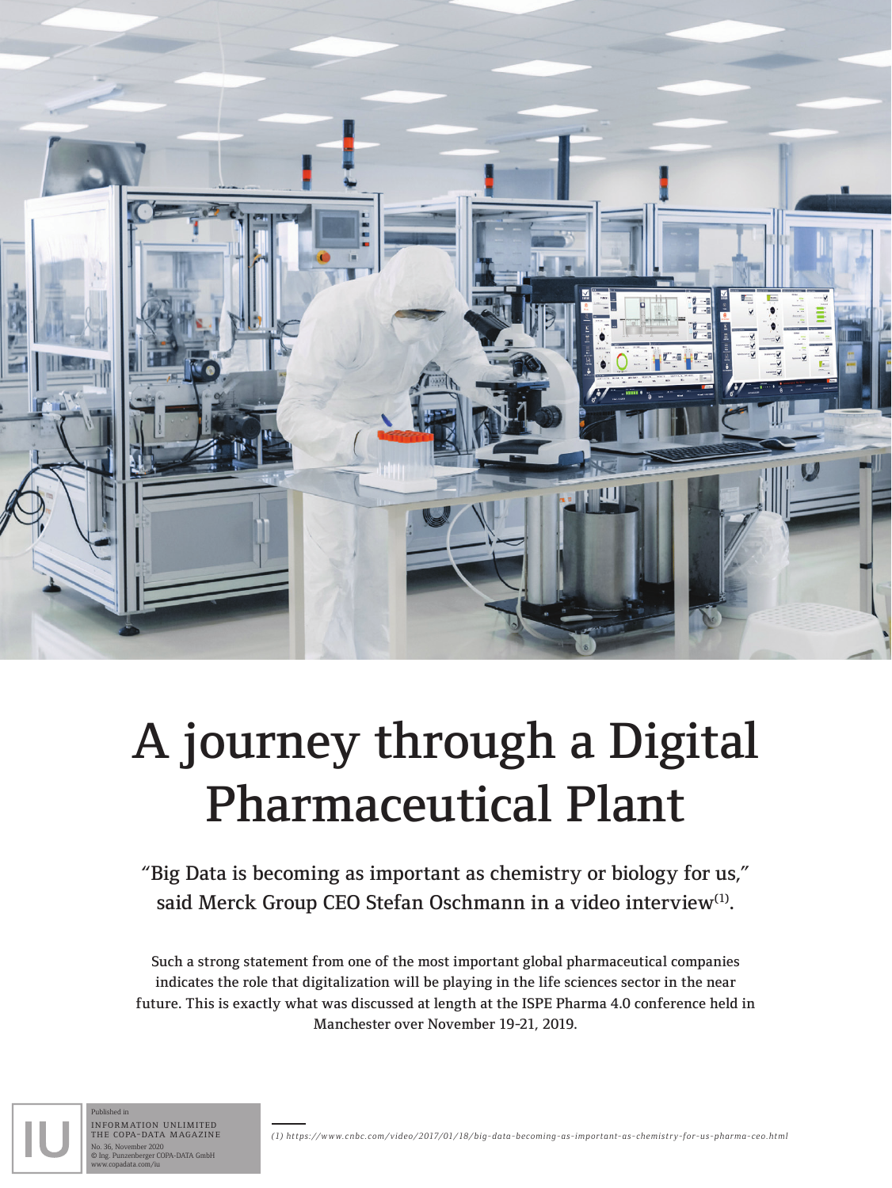

## A journey through a Digital Pharmaceutical Plant

"Big Data is becoming as important as chemistry or biology for us," said Merck Group CEO Stefan Oschmann in a video interview<sup>(1)</sup>.

Such a strong statement from one of the most important global pharmaceutical companies indicates the role that digitalization will be playing in the life sciences sector in the near future. This is exactly what was discussed at length at the ISPE Pharma 4.0 conference held in Manchester over November 19-21, 2019.



information unlimited the copa-data magazine No. 36, November 2020 © Ing. Punzenberger COPA-DATA GmbH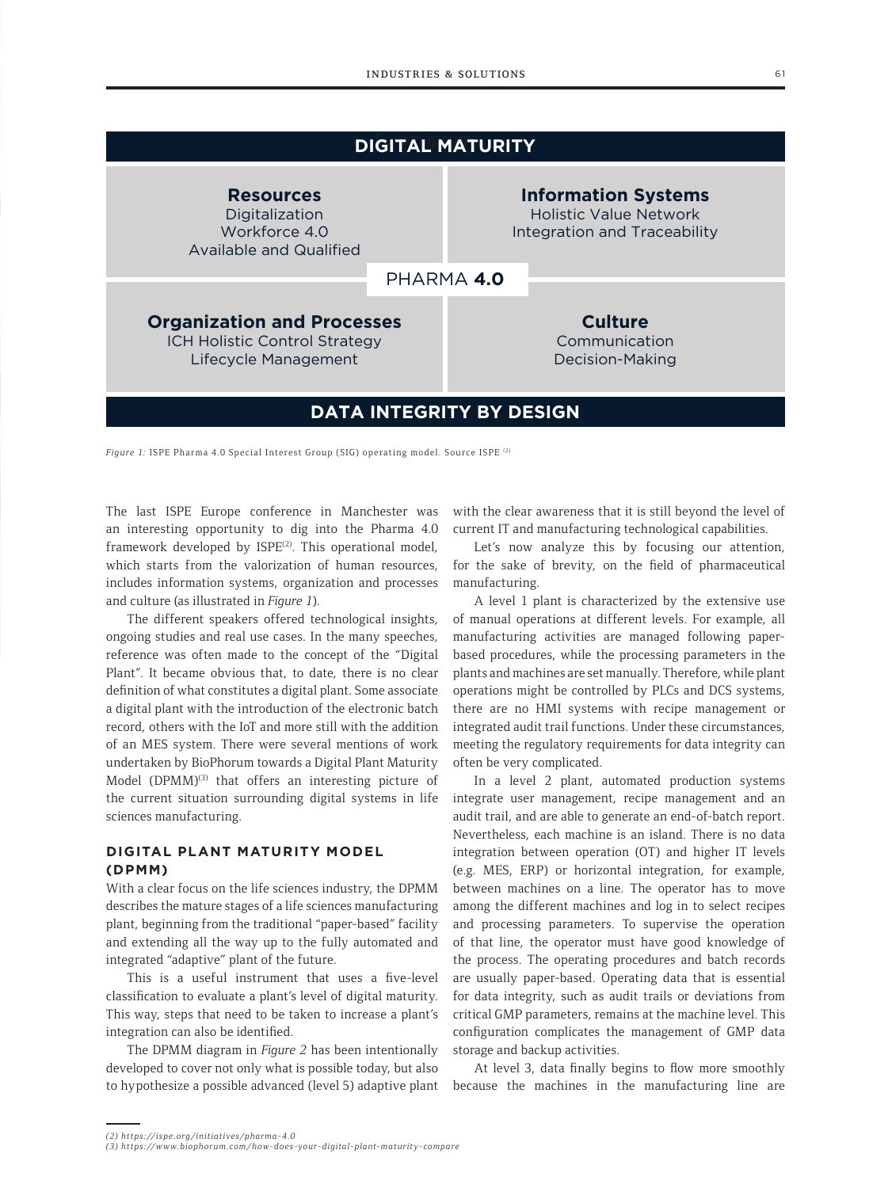| <b>DIGITAL MATURITY</b>                                                                           |            |                                                                                             |  |  |
|---------------------------------------------------------------------------------------------------|------------|---------------------------------------------------------------------------------------------|--|--|
| <b>Resources</b><br>Digitalization<br>Workforce 4.0<br>Available and Qualified                    |            | <b>Information Systems</b><br><b>Holistic Value Network</b><br>Integration and Traceability |  |  |
|                                                                                                   | PHARMA 4.0 |                                                                                             |  |  |
| <b>Organization and Processes</b><br><b>ICH Holistic Control Strategy</b><br>Lifecycle Management |            | <b>Culture</b><br>Communication<br>Decision-Making                                          |  |  |
| <b>DATA INTEGRITY BY DESIGN</b>                                                                   |            |                                                                                             |  |  |

*Figure 1:* ISPE Pharma 4.0 Special Interest Group (SIG) operating model. Source ISPE (2)

The last ISPE Europe conference in Manchester was an interesting opportunity to dig into the Pharma 4.0 framework developed by ISPE<sup>(2)</sup>. This operational model, which starts from the valorization of human resources, includes information systems, organization and processes and culture (as illustrated in *Figure 1*).

The different speakers offered technological insights, ongoing studies and real use cases. In the many speeches, reference was often made to the concept of the "Digital Plant". It became obvious that, to date, there is no clear definition of what constitutes a digital plant. Some associate a digital plant with the introduction of the electronic batch record, others with the IoT and more still with the addition of an MES system. There were several mentions of work undertaken by BioPhorum towards a Digital Plant Maturity Model (DPMM)<sup>(3)</sup> that offers an interesting picture of the current situation surrounding digital systems in life sciences manufacturing.

## **DIGITAL PLANT MATURITY MODEL (DPMM)**

With a clear focus on the life sciences industry, the DPMM describes the mature stages of a life sciences manufacturing plant, beginning from the traditional "paper-based" facility and extending all the way up to the fully automated and integrated "adaptive" plant of the future.

This is a useful instrument that uses a five-level classification to evaluate a plant's level of digital maturity. This way, steps that need to be taken to increase a plant's integration can also be identified.

The DPMM diagram in *Figure 2* has been intentionally developed to cover not only what is possible today, but also to hypothesize a possible advanced (level 5) adaptive plant with the clear awareness that it is still beyond the level of current IT and manufacturing technological capabilities.

Let's now analyze this by focusing our attention, for the sake of brevity, on the field of pharmaceutical manufacturing.

A level 1 plant is characterized by the extensive use of manual operations at different levels. For example, all manufacturing activities are managed following paperbased procedures, while the processing parameters in the plants and machines are set manually. Therefore, while plant operations might be controlled by PLCs and DCS systems, there are no HMI systems with recipe management or integrated audit trail functions. Under these circumstances, meeting the regulatory requirements for data integrity can often be very complicated.

In a level 2 plant, automated production systems integrate user management, recipe management and an audit trail, and are able to generate an end-of-batch report. Nevertheless, each machine is an island. There is no data integration between operation (OT) and higher IT levels (e.g. MES, ERP) or horizontal integration, for example, between machines on a line. The operator has to move among the different machines and log in to select recipes and processing parameters. To supervise the operation of that line, the operator must have good knowledge of the process. The operating procedures and batch records are usually paper-based. Operating data that is essential for data integrity, such as audit trails or deviations from critical GMP parameters, remains at the machine level. This configuration complicates the management of GMP data storage and backup activities.

At level 3, data finally begins to flow more smoothly because the machines in the manufacturing line are

*<sup>(2)</sup> https://ispe.org/initiatives/pharma-4.0*

*<sup>(3)</sup> https://www.biophorum.com/how-does-your-digital-plant-maturity-compare*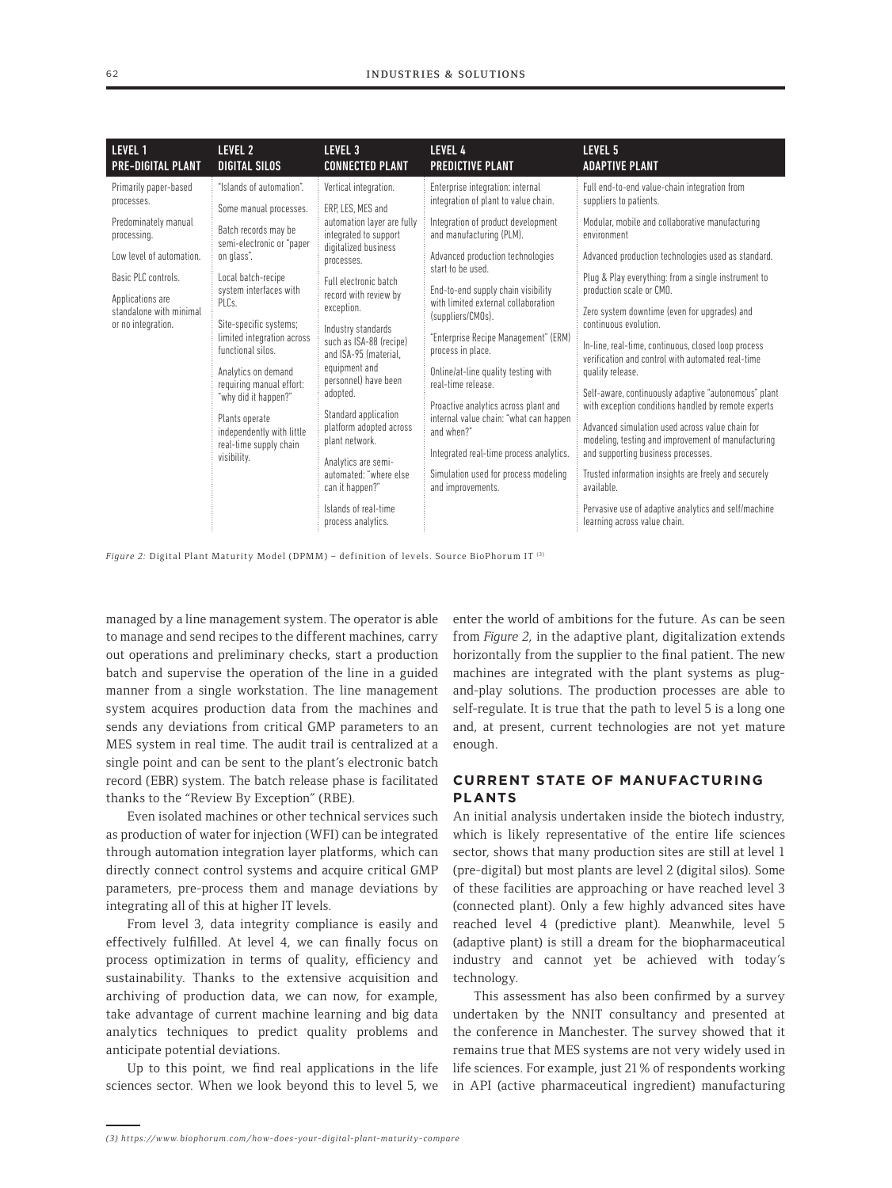| LEVEL 1                                                                                                                                                                                            | LEVEL 2                                                                                                                                                                                                                                                                                                                                                                                                                        | LEVEL <sub>3</sub>                                                                                                                                                                                                                                                                                                                                                                                                                                                                                                            | <b>LEVEL 4</b>                                                                                                                                                                                                                                                                                                                                                                                                                                                                                                                                                                                                                         | LEVEL 5                                                                                                                                                                                                                                                                                                                                                                                                                                                                                                                                                                                                                                                                                                                                                                                                                                                                                                                |
|----------------------------------------------------------------------------------------------------------------------------------------------------------------------------------------------------|--------------------------------------------------------------------------------------------------------------------------------------------------------------------------------------------------------------------------------------------------------------------------------------------------------------------------------------------------------------------------------------------------------------------------------|-------------------------------------------------------------------------------------------------------------------------------------------------------------------------------------------------------------------------------------------------------------------------------------------------------------------------------------------------------------------------------------------------------------------------------------------------------------------------------------------------------------------------------|----------------------------------------------------------------------------------------------------------------------------------------------------------------------------------------------------------------------------------------------------------------------------------------------------------------------------------------------------------------------------------------------------------------------------------------------------------------------------------------------------------------------------------------------------------------------------------------------------------------------------------------|------------------------------------------------------------------------------------------------------------------------------------------------------------------------------------------------------------------------------------------------------------------------------------------------------------------------------------------------------------------------------------------------------------------------------------------------------------------------------------------------------------------------------------------------------------------------------------------------------------------------------------------------------------------------------------------------------------------------------------------------------------------------------------------------------------------------------------------------------------------------------------------------------------------------|
| PRE-DIGITAL PLANT                                                                                                                                                                                  | <b>DIGITAL SILOS</b>                                                                                                                                                                                                                                                                                                                                                                                                           | <b>CONNECTED PLANT</b>                                                                                                                                                                                                                                                                                                                                                                                                                                                                                                        | <b>PREDICTIVE PLANT</b>                                                                                                                                                                                                                                                                                                                                                                                                                                                                                                                                                                                                                | <b>ADAPTIVE PLANT</b>                                                                                                                                                                                                                                                                                                                                                                                                                                                                                                                                                                                                                                                                                                                                                                                                                                                                                                  |
| Primarily paper-based<br>processes.<br>Predominately manual<br>processing.<br>Low level of automation.<br>Basic PLC controls.<br>Applications are<br>standalone with minimal<br>or no integration. | "Islands of automation".<br>Some manual processes.<br>Batch records may be<br>semi-electronic or "paper<br>on glass".<br>Local batch-recipe<br>system interfaces with<br>PLCs.<br>Site-specific systems;<br>limited integration across<br>functional silos.<br>Analytics on demand<br>requiring manual effort:<br>"why did it happen?"<br>Plants operate<br>independently with little<br>real-time supply chain<br>visibility. | Vertical integration.<br>FRP. LES. MES and<br>automation layer are fully<br>integrated to support<br>digitalized business<br>processes.<br>Full electronic batch<br>record with review by<br>exception.<br>Industry standards<br>such as ISA-88 (recipe)<br>and ISA-95 (material,<br>equipment and<br>personnel) have been<br>adopted.<br>Standard application<br>platform adopted across<br>plant network.<br>Analytics are semi-<br>automated: "where else<br>can it happen?"<br>Islands of real-time<br>process analytics. | Enterprise integration: internal<br>integration of plant to value chain.<br>Integration of product development<br>and manufacturing (PLM).<br>Advanced production technologies<br>start to be used.<br>End-to-end supply chain visibility<br>with limited external collaboration<br>(suppliers/CMOs).<br>"Enterprise Recipe Management" (ERM)<br>process in place.<br>Online/at-line quality testing with<br>real-time release<br>Proactive analytics across plant and<br>internal value chain: "what can happen<br>and when?"<br>Integrated real-time process analytics.<br>Simulation used for process modeling<br>and improvements. | Full end-to-end value-chain integration from<br>suppliers to patients.<br>Modular, mobile and collaborative manufacturing<br>environment<br>Advanced production technologies used as standard.<br>Plug & Play everything: from a single instrument to<br>production scale or CMO.<br>Zero system downtime (even for upgrades) and<br>continuous evolution.<br>In-line, real-time, continuous, closed loop process<br>verification and control with automated real-time<br>quality release.<br>Self-aware, continuously adaptive "autonomous" plant<br>with exception conditions handled by remote experts<br>Advanced simulation used across value chain for<br>modeling, testing and improvement of manufacturing<br>and supporting business processes.<br>Trusted information insights are freely and securely<br>available.<br>Pervasive use of adaptive analytics and self/machine<br>learning across value chain. |

*Figure 2:* Digital Plant Maturity Model (DPMM) – definition of levels. Source BioPhorum IT (3)

managed by a line management system. The operator is able to manage and send recipes to the different machines, carry out operations and preliminary checks, start a production batch and supervise the operation of the line in a guided manner from a single workstation. The line management system acquires production data from the machines and sends any deviations from critical GMP parameters to an MES system in real time. The audit trail is centralized at a single point and can be sent to the plant's electronic batch record (EBR) system. The batch release phase is facilitated thanks to the "Review By Exception" (RBE).

Even isolated machines or other technical services such as production of water for injection (WFI) can be integrated through automation integration layer platforms, which can directly connect control systems and acquire critical GMP parameters, pre-process them and manage deviations by integrating all of this at higher IT levels.

From level 3, data integrity compliance is easily and effectively fulfilled. At level 4, we can finally focus on process optimization in terms of quality, efficiency and sustainability. Thanks to the extensive acquisition and archiving of production data, we can now, for example, take advantage of current machine learning and big data analytics techniques to predict quality problems and anticipate potential deviations.

Up to this point, we find real applications in the life sciences sector. When we look beyond this to level 5, we enter the world of ambitions for the future. As can be seen from *Figure 2*, in the adaptive plant, digitalization extends horizontally from the supplier to the final patient. The new machines are integrated with the plant systems as plugand-play solutions. The production processes are able to self-regulate. It is true that the path to level 5 is a long one and, at present, current technologies are not yet mature enough.

## **CURRENT STATE OF MANUFACTURING PLANTS**

An initial analysis undertaken inside the biotech industry, which is likely representative of the entire life sciences sector, shows that many production sites are still at level 1 (pre-digital) but most plants are level 2 (digital silos). Some of these facilities are approaching or have reached level 3 (connected plant). Only a few highly advanced sites have reached level 4 (predictive plant). Meanwhile, level 5 (adaptive plant) is still a dream for the biopharmaceutical industry and cannot yet be achieved with today's technology.

This assessment has also been confirmed by a survey undertaken by the NNIT consultancy and presented at the conference in Manchester. The survey showed that it remains true that MES systems are not very widely used in life sciences. For example, just 21% of respondents working in API (active pharmaceutical ingredient) manufacturing